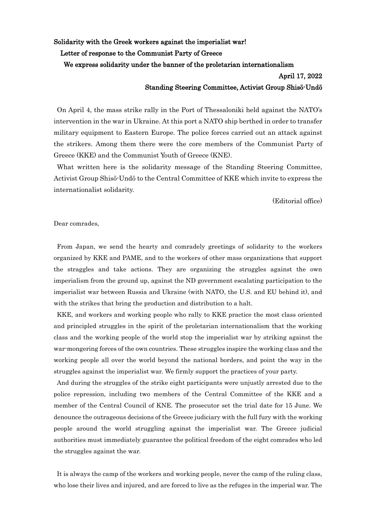Solidarity with the Greek workers against the imperialist war!

Letter of response to the Communist Party of Greece

We express solidarity under the banner of the proletarian internationalism

## April 17, 2022 Standing Steering Committee, Activist Group Shisō-Undō

On April 4, the mass strike rally in the Port of Thessaloniki held against the NATO's intervention in the war in Ukraine. At this port a NATO ship berthed in order to transfer military equipment to Eastern Europe. The police forces carried out an attack against the strikers. Among them there were the core members of the Communist Party of Greece (KKE) and the Communist Youth of Greece (KNE).

What written here is the solidarity message of the Standing Steering Committee, Activist Group Shisō-Undō to the Central Committee of KKE which invite to express the internationalist solidarity.

(Editorial office)

Dear comrades,

From Japan, we send the hearty and comradely greetings of solidarity to the workers organized by KKE and PAME, and to the workers of other mass organizations that support the straggles and take actions. They are organizing the struggles against the own imperialism from the ground up, against the ND government escalating participation to the imperialist war between Russia and Ukraine (with NATO, the U.S. and EU behind it), and with the strikes that bring the production and distribution to a halt.

KKE, and workers and working people who rally to KKE practice the most class oriented and principled struggles in the spirit of the proletarian internationalism that the working class and the working people of the world stop the imperialist war by striking against the war-mongering forces of the own countries. These struggles inspire the working class and the working people all over the world beyond the national borders, and point the way in the struggles against the imperialist war. We firmly support the practices of your party.

And during the struggles of the strike eight participants were unjustly arrested due to the police repression, including two members of the Central Committee of the KKE and a member of the Central Council of ΚΝΕ. The prosecutor set the trial date for 15 June. We denounce the outrageous decisions of the Greece judiciary with the full fury with the working people around the world struggling against the imperialist war. The Greece judicial authorities must immediately guarantee the political freedom of the eight comrades who led the struggles against the war.

It is always the camp of the workers and working people, never the camp of the ruling class, who lose their lives and injured, and are forced to live as the refuges in the imperial war. The